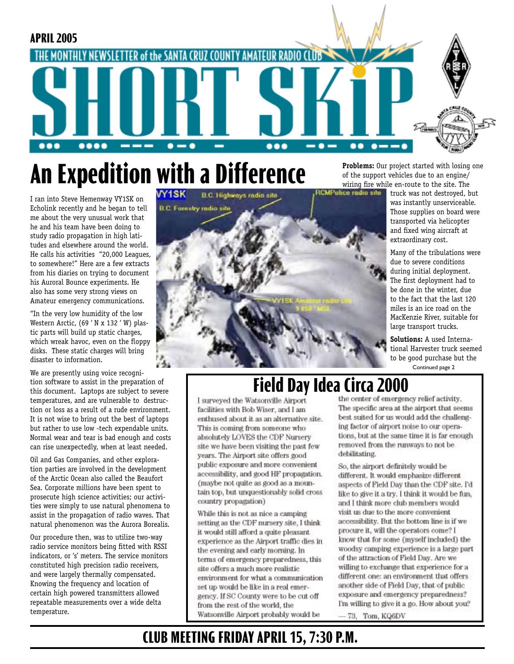

# **An Expedition with a Difference**

I ran into Steve Hemenway VY1SK on Echolink recently and he began to tell me about the very unusual work that he and his team have been doing to study radio propagation in high latitudes and elsewhere around the world. He calls his activities "20,000 Leagues, to somewhere!" Here are a few extracts from his diaries on trying to document his Auroral Bounce experiments. He also has some very strong views on Amateur emergency communications.

"In the very low humidity of the low Western Arctic, (69 ' N x 132 ' W) plastic parts will build up static charges, which wreak havoc, even on the floppy disks. These static charges will bring disaster to information.

We are presently using voice recognition software to assist in the preparation of this document. Laptops are subject to severe temperatures, and are vulnerable to destruction or loss as a result of a rude environment. It is not wise to bring out the best of laptops but rather to use low -tech expendable units. Normal wear and tear is bad enough and costs can rise unexpectedly, when at least needed.

Oil and Gas Companies, and other exploration parties are involved in the development of the Arctic Ocean also called the Beaufort Sea. Corporate millions have been spent to prosecute high science activities; our activities were simply to use natural phenomena to assist in the propagation of radio waves. That natural phenomenon was the Aurora Borealis.

Our procedure then, was to utilize two-way radio service monitors being fitted with RSSI indicators, or 's' meters. The service monitors constituted high precision radio receivers, and were largely thermally compensated. Knowing the frequency and location of certain high powered transmitters allowed repeatable measurements over a wide delta temperature.



**Problems:** Our project started with losing one of the support vehicles due to an engine/ wiring fire while en-route to the site. The

truck was not destroyed, but was instantly unserviceable. Those supplies on board were transported via helicopter and fixed wing aircraft at extraordinary cost.

Many of the tribulations were due to severe conditions during initial deployment. The first deployment had to be done in the winter, due to the fact that the last 120 miles is an ice road on the MacKenzie River, suitable for large transport trucks.

**Solutions:** A used International Harvester truck seemed to be good purchase but the Continued page 2

## **Field Day Idea Circa 2000**<br>I surveyed the Watsonville Airport the center of emergency relief activity.

facilities with Bob Wiser, and I am enthused about it as an alternative site. This is coming from someone who absolutely LOVES the CDF Nursery site we have been visiting the past few years. The Airport site offers good public exposure and more convenient accessibility, and good HF propagation. (maybe not quite as good as a mountain top, but unquestionably solid cross country propagation)

While this is not as nice a camping setting as the CDF nursery site, I think it would still afford a quite pleasant experience as the Airport traffic dies in the evening and early morning. In terms of emergency preparedness, this site offers a much more realistic environment for what a communication set up would be like in a real emergency. If SC County were to be cut off from the rest of the world, the Watsonville Airport probably would be

The specific area at the airport that seems best suited for us would add the challenging factor of airport noise to our operations, but at the same time it is far enough removed from the runways to not be debilitating.

So, the airport definitely would be different. It would emphasize different aspects of Field Day than the CDF site. I'd like to give it a try. I think it would be fun. and I think more club members would visit us due to the more convenient accessibility. But the bottom line is if we procure it, will the operators come? I know that for some (myself included) the woodsy camping experience is a large part of the attraction of Field Day. Are we willing to exchange that experience for a different one: an environment that offers another side of Field Day, that of public exposure and emergency preparedness? I'm willing to give it a go. How about you?

73, Tom, KQ6DV

### **CLUB MEETING FRIDAY APRIL 15, 7:30 P.M.**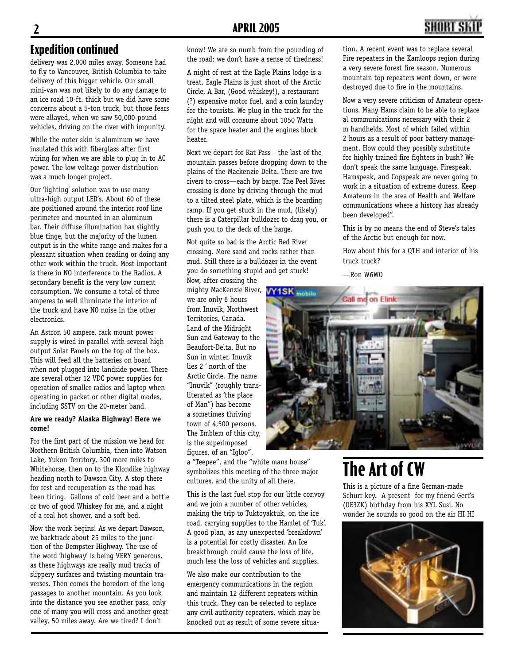## **2 APRIL 2005 3**

#### **Expedition continued**

delivery was 2,000 miles away. Someone had to fly to Vancouver, British Columbia to take delivery of this bigger vehicle. Our small mini-van was not likely to do any damage to an ice road 10-ft. thick but we did have some concerns about a 5-ton truck, but those fears were allayed, when we saw 50,000-pound vehicles, driving on the river with impunity.

While the outer skin is aluminum we have insulated this with fiberglass after first wiring for when we are able to plug in to AC power. The low voltage power distribution was a much longer project.

Our 'lighting' solution was to use many ultra-high output LED's. About 60 of these are positioned around the interior roof line perimeter and mounted in an aluminum bar. Their diffuse illumination has slightly blue tinge, but the majority of the lumen output is in the white range and makes for a pleasant situation when reading or doing any other work within the truck. Most important is there in NO interference to the Radios. A secondary benefit is the very low current consumption. We consume a total of three amperes to well illuminate the interior of the truck and have NO noise in the other electronics.

An Astron 50 ampere, rack mount power supply is wired in parallel with several high output Solar Panels on the top of the box. This will feed all the batteries on board when not plugged into landside power. There are several other 12 VDC power supplies for operation of smaller radios and laptop when operating in packet or other digital modes, including SSTV on the 20-meter band.

#### **Are we ready? Alaska Highway! Here we come!**

For the first part of the mission we head for Northern British Columbia, then into Watson Lake, Yukon Territory, 300 more miles to Whitehorse, then on to the Klondike highway heading north to Dawson City. A stop there for rest and recuperation as the road has been tiring. Gallons of cold beer and a bottle or two of good Whiskey for me, and a night of a real hot shower, and a soft bed.

Now the work begins! As we depart Dawson, we backtrack about 25 miles to the junction of the Dempster Highway. The use of the word 'highway' is being VERY generous, as these highways are really mud tracks of slippery surfaces and twisting mountain traverses. Then comes the boredom of the long passages to another mountain. As you look into the distance you see another pass, only one of many you will cross and another great valley, 50 miles away. Are we tired? I don't

know! We are so numb from the pounding of the road; we don't have a sense of tiredness!

A night of rest at the Eagle Plains lodge is a treat. Eagle Plains is just short of the Arctic Circle. A Bar, (Good whiskey!), a restaurant (?) expensive motor fuel, and a coin laundry for the tourists. We plug in the truck for the night and will consume about 1050 Watts for the space heater and the engines block heater.

Next we depart for Rat Pass—the last of the mountain passes before dropping down to the plains of the Mackenzie Delta. There are two rivers to cross—each by barge. The Peel River crossing is done by driving through the mud to a tilted steel plate, which is the boarding ramp. If you get stuck in the mud, (likely) there is a Caterpillar bulldozer to drag you, or push you to the deck of the barge.

Not quite so bad is the Arctic Red River crossing. More sand and rocks rather than mud. Still there is a bulldozer in the event you do something stupid and get stuck!

Now, after crossing the mighty MacKenzie River, WY1SK mobile we are only 6 hours from Inuvik, Northwest Territories, Canada. Land of the Midnight Sun and Gateway to the Beaufort-Delta. But no Sun in winter, Inuvik lies 2 ' north of the Arctic Circle. The name "Inuvik" (roughly transliterated as 'the place of Man") has become a sometimes thriving town of 4,500 persons. The Emblem of this city, is the superimposed figures, of an "Igloo",

a "Teepee", and the "white mans house" symbolizes this meeting of the three major cultures, and the unity of all there.

This is the last fuel stop for our little convoy and we join a number of other vehicles, making the trip to Tuktoyaktuk, on the ice road, carrying supplies to the Hamlet of 'Tuk'. A good plan, as any unexpected 'breakdown' is a potential for costly disaster. An Ice breakthrough could cause the loss of life, much less the loss of vehicles and supplies.

We also make our contribution to the emergency communications in the region and maintain 12 different repeaters within this truck. They can be selected to replace any civil authority repeaters, which may be knocked out as result of some severe situation. A recent event was to replace several Fire repeaters in the Kamloops region during a very severe forest fire season. Numerous mountain top repeaters went down, or were destroyed due to fire in the mountains.

Now a very severe criticism of Amateur operations. Many Hams claim to be able to replace al communications necessary with their 2 m handhelds. Most of which failed within 2 hours as a result of poor battery management. How could they possibly substitute for highly trained fire fighters in bush? We don't speak the same language. Firespeak, Hamspeak, and Copspeak are never going to work in a situation of extreme duress. Keep Amateurs in the area of Health and Welfare communications where a history has already been developed".

This is by no means the end of Steve's tales of the Arctic but enough for now.

How about this for a QTH and interior of his truck truck?

—Ron W6WO



## **The Art of CW**

This is a picture of a fine German-made Schurr key. A present for my friend Gert's (OE3ZK) birthday from his XYL Susi. No wonder he sounds so good on the air HI HI

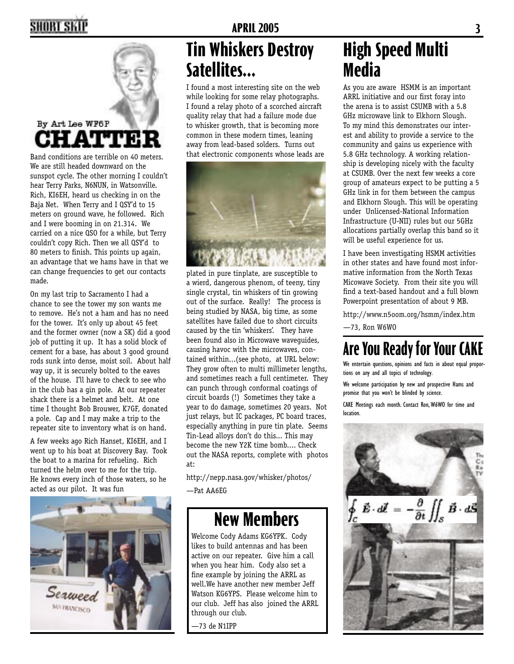## **2 APRIL 2005 3**



## **Tin Whiskers Destroy Satellites...**

I found a most interesting site on the web while looking for some relay photographs. I found a relay photo of a scorched aircraft quality relay that had a failure mode due to whisker growth, that is becoming more common in these modern times, leaning away from lead-based solders. Turns out that electronic components whose leads are



plated in pure tinplate, are susceptible to a wierd, dangerous phenom, of teeny, tiny single crystal, tin whiskers of tin growing out of the surface. Really! The process is being studied by NASA, big time, as some satellites have failed due to short circuits caused by the tin 'whiskers'. They have been found also in Microwave waveguides, causing havoc with the microwaves, contained within...(see photo, at URL below: They grow often to multi millimeter lengths, and sometimes reach a full centimeter. They can punch through conformal coatings of circuit boards (!) Sometimes they take a year to do damage, sometimes 20 years. Not just relays, but IC packages, PC board traces, especially anything in pure tin plate. Seems Tin-Lead alloys don't do this... This may become the new Y2K time bomb.... Check out the NASA reports, complete with photos at:

http://nepp.nasa.gov/whisker/photos/ —Pat AA6EG

### **New Members**

Welcome Cody Adams KG6YPK. Cody likes to build antennas and has been active on our repeater. Give him a call when you hear him. Cody also set a fine example by joining the ARRL as well.We have another new member Jeff Watson KG6YPS. Please welcome him to our club. Jeff has also joined the ARRL through our club.

—73 de N1IPP

## **High Speed Multi Media**

As you are aware HSMM is an important ARRL initiative and our first foray into the arena is to assist CSUMB with a 5.8 GHz microwave link to Elkhorn Slough. To my mind this demonstrates our interest and ability to provide a service to the community and gains us experience with 5.8 GHz technology. A working relationship is developing nicely with the faculty at CSUMB. Over the next few weeks a core group of amateurs expect to be putting a 5 GHz link in for them between the campus and Elkhorn Slough. This will be operating under Unlicensed-National Information Infrastructure (U-NII) rules but our 5GHz allocations partially overlap this band so it will be useful experience for us.

I have been investigating HSMM activities in other states and have found most informative information from the North Texas Micowave Society. From their site you will find a text-based handout and a full blown Powerpoint presentation of about 9 MB.

http://www.n5oom.org/hsmm/index.htm

—73, Ron W6WO

## **Are You Ready for Your CAKE**

We entertain questions, opinions and facts in about equal proportions on any and all topics of technology.

We welcome participation by new and prospective Hams and promise that you won't be blinded by science.

CAKE Meetings each month. Contact Ron, W6WO for time and location.



#### By Art Lee WF6P O

Band conditions are terrible on 40 meters. We are still headed downward on the sunspot cycle. The other morning I couldn't hear Terry Parks, N6NUN, in Watsonville. Rich, KI6EH, heard us checking in on the Baja Net. When Terry and I QSY'd to 15 meters on ground wave, he followed. Rich and I were booming in on 21.314. We carried on a nice QSO for a while, but Terry couldn't copy Rich. Then we all QSY'd to 80 meters to finish. This points up again, an advantage that we hams have in that we can change frequencies to get our contacts made.

On my last trip to Sacramento I had a chance to see the tower my son wants me to remove. He's not a ham and has no need for the tower. It's only up about 45 feet and the former owner (now a SK) did a good job of putting it up. It has a solid block of cement for a base, has about 3 good ground rods sunk into dense, moist soil. About half way up, it is securely bolted to the eaves of the house. I'll have to check to see who in the club has a gin pole. At our repeater shack there is a helmet and belt. At one time I thought Bob Brouwer, K7GF, donated a pole. Cap and I may make a trip to the repeater site to inventory what is on hand.

A few weeks ago Rich Hanset, KI6EH, and I went up to his boat at Discovery Bay. Took the boat to a marina for refueling. Rich turned the helm over to me for the trip. He knows every inch of those waters, so he acted as our pilot. It was fun